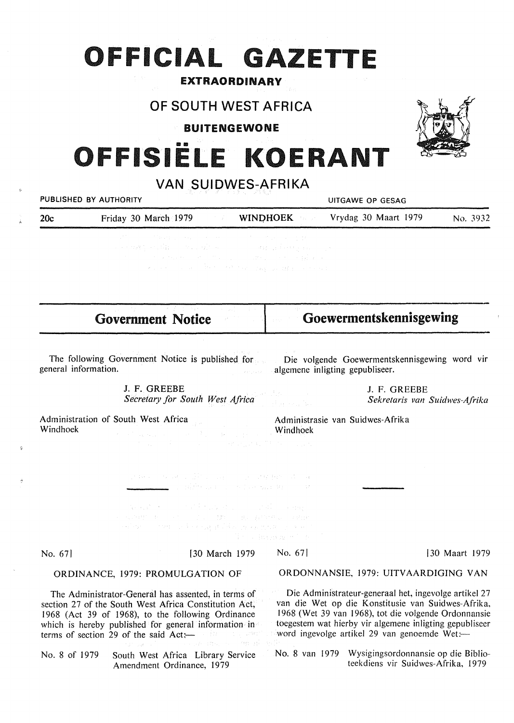## **OFFICIAL GAZETTE**

## EXTRAORDINARY

## **OF SOUTH WEST AFRICA**

### BUITENGEWONE

# FFISIËLE KOERANT

## **VAN SUIDWES-AFRIKA**

| VAN SUILVVES-AFRIKA<br>PUBLISHED BY AUTHORITY<br><b>UITGAWE OP GESAG</b> |                                                                                                                                                                                                                                                                                                                                                                                                                                                                                                                                                                                                                                                                                                                                                                                                                         |                                      |                                                                                                                                                                                                                                                                                |               |
|--------------------------------------------------------------------------|-------------------------------------------------------------------------------------------------------------------------------------------------------------------------------------------------------------------------------------------------------------------------------------------------------------------------------------------------------------------------------------------------------------------------------------------------------------------------------------------------------------------------------------------------------------------------------------------------------------------------------------------------------------------------------------------------------------------------------------------------------------------------------------------------------------------------|--------------------------------------|--------------------------------------------------------------------------------------------------------------------------------------------------------------------------------------------------------------------------------------------------------------------------------|---------------|
| 20c                                                                      | Friday 30 March 1979<br>a shekara                                                                                                                                                                                                                                                                                                                                                                                                                                                                                                                                                                                                                                                                                                                                                                                       | <b>WINDHOEK</b><br>stavljanje        | Vrydag 30 Maart 1979                                                                                                                                                                                                                                                           | No. 3932      |
|                                                                          | 医特罗氏征 网络中国 医神经性 医心脏 医心脏 医无力的 化异丙基苯甲酸<br>a conservative still provide a series of the conservative series and conservative<br>the company of the company of the company of the company of the company of<br>kan kecamatan di Pertambulan Manggunian Sebe                                                                                                                                                                                                                                                                                                                                                                                                                                                                                                                                                                 |                                      |                                                                                                                                                                                                                                                                                |               |
|                                                                          | <b>Government Notice</b>                                                                                                                                                                                                                                                                                                                                                                                                                                                                                                                                                                                                                                                                                                                                                                                                |                                      | Goewermentskennisgewing                                                                                                                                                                                                                                                        |               |
| general information.                                                     | The following Government Notice is published for Die volgende Goewermentskennisgewing word vir                                                                                                                                                                                                                                                                                                                                                                                                                                                                                                                                                                                                                                                                                                                          | algemene inligting gepubliseer.      |                                                                                                                                                                                                                                                                                |               |
|                                                                          | J. F. GREEBE<br>J. F. GREEBE<br>Secretary for South West Africa                                                                                                                                                                                                                                                                                                                                                                                                                                                                                                                                                                                                                                                                                                                                                         |                                      | J. F. GREEBE<br>Sekretaris van Suidwes-Afrika                                                                                                                                                                                                                                  |               |
| Windhoek                                                                 | Administration of South West Africa<br>the state and the state of the state of the <b>Windhoek</b><br>$\label{eq:3.1} \mathcal{L}^{\mathcal{A}}_{\mathcal{A}}(\mathcal{A})=\mathcal{L}^{\mathcal{A}}_{\mathcal{A}}(\mathcal{A})\mathcal{L}^{\mathcal{A}}_{\mathcal{A}}(\mathcal{A})\mathcal{L}^{\mathcal{A}}_{\mathcal{A}}(\mathcal{A})\mathcal{L}^{\mathcal{A}}_{\mathcal{A}}(\mathcal{A})\mathcal{L}^{\mathcal{A}}_{\mathcal{A}}(\mathcal{A})\mathcal{L}^{\mathcal{A}}_{\mathcal{A}}(\mathcal{A})\mathcal{L}^{\mathcal{A}}_{\mathcal{A}}(\mathcal{A})\mathcal$<br>$\label{eq:2.1} \mathcal{L}=\mathcal{L}(\mathcal{L}^{\mathcal{L}}_{\mathcal{L}}(\mathcal{L}^{\mathcal{L}}_{\mathcal{L}}(\mathcal{L}^{\mathcal{L}}_{\mathcal{L}}(\mathcal{L}^{\mathcal{L}}_{\mathcal{L}}(\mathcal{L}^{\mathcal{L}}_{\mathcal{L}})))$ |                                      | Administrasie van Suidwes-Afrika                                                                                                                                                                                                                                               |               |
|                                                                          | spreads to be according to the company probability of<br><b>Communication</b> of the Wilson and Communication of the Second Communication of the Second Communication of the Second Communication of the Second Communication of the Second Communication of the Second Communication of the                                                                                                                                                                                                                                                                                                                                                                                                                                                                                                                            |                                      |                                                                                                                                                                                                                                                                                |               |
|                                                                          | An and the second of the first and control of the state of the state of the state of the state of the state of<br>· 《中世》社《天文》(1) 100 (1) (3) (4) 子戸宮井 / 子戸<br>아이들이 아이들이 나라 사람들은 사람의 사람들이 있으며 아이들이 있다.                                                                                                                                                                                                                                                                                                                                                                                                                                                                                                                                                                                                                   | When Breaks and a                    |                                                                                                                                                                                                                                                                                |               |
| No. 67                                                                   | [30 March 1979]                                                                                                                                                                                                                                                                                                                                                                                                                                                                                                                                                                                                                                                                                                                                                                                                         | No. 67                               |                                                                                                                                                                                                                                                                                | 30 Maart 1979 |
| ORDINANCE, 1979: PROMULGATION OF                                         |                                                                                                                                                                                                                                                                                                                                                                                                                                                                                                                                                                                                                                                                                                                                                                                                                         | ORDONNANSIE, 1979: UITVAARDIGING VAN |                                                                                                                                                                                                                                                                                |               |
|                                                                          | The Administrator-General has assented, in terms of<br>section 27 of the South West Africa Constitution Act,<br>1968 (Act 39 of 1968), to the following Ordinance<br>which is hereby published for general information in<br>terms of section 29 of the said Act:-<br>y 1970.                                                                                                                                                                                                                                                                                                                                                                                                                                                                                                                                           |                                      | Die Administrateur-generaal het, ingevolge artikel 27<br>van die Wet op die Konstitusie van Suidwes-Afrika,<br>1968 (Wet 39 van 1968), tot die volgende Ordonnansie<br>toegestem wat hierby vir algemene inligting gepubliseer<br>word ingevolge artikel 29 van genoemde Wet:- |               |

No. 8 of 1979 South West Africa Library Service Amendment Ordinance, 1979

 $\hat{\mathbf{v}}$ 

No. 8 van 1979 Wysigingsordonnansie op die Biblioteekdiens vir Suidwes-Afrika, 1979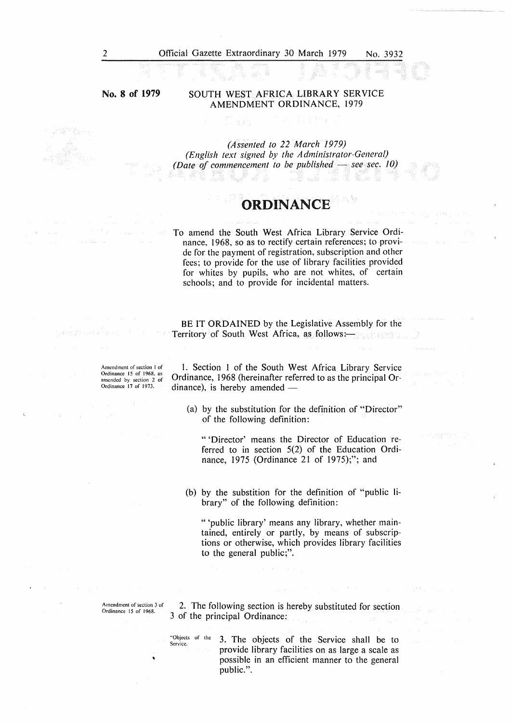**No. 8 of 1979** 

#### SOUTH WEST AFRICA LIBRARY SER VICE AMENDMENT ORDINANCE, 1979

*(Assented to 22 March 1979) (English text signed by the Administrator-General) (Date of commencement to be published - see sec. 10)* a mag

5. RUZ XI

## ORDINANCE

To amend the South West Africa Library Service Ordinance, 1968, so as to rectify certain references; to provide for the payment of registration, subscription and other fees; to provide for the use of library facilities provided for whites by pupils, who are not whites, of certain schools; and to provide for incidental matters.

BE IT **ORDAINED** by the Legislative Assembly for the Territory of South West Africa, as follows:

**Amendment of section** I of Ordinance 15 of 1968, as amended by section 2 of Ordinance 17 of 1973.

I. Section I of the South West Africa Library Service Ordinance, 1968 (hereinafter referred to as the principal Ordinance), is hereby amended  $-$ 

(a) by the substitution for the definition of "Director" of the following definition:

" 'Director' means the Director of Education referred to in section 5(2) of the Education Ordinance, 1975 (Ordinance 21 of 1975);"; and

(b) by the substition for the definition of "public library" of the following definition:

"'public library' means any library, whether maintained, entirely or partly, by means of subscriptions or otherwise, which provides library facilities to the general public;".

Amendment of section 3 of Ordinance 15 of 1968.

2. The following section is hereby substituted for section 3 of the principal Ordinance:

"Objects of the 3. The objects of the Service shall be to provide library facilities on as large a scale as possible in an efficient manner to the general public.".

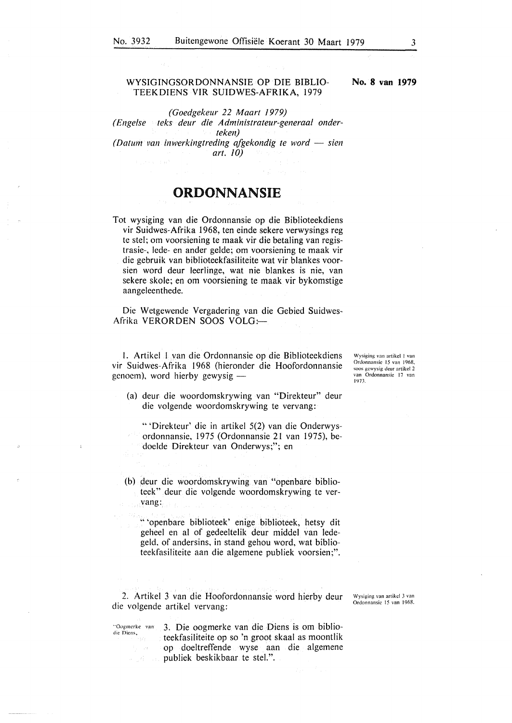#### **WYSIGINGSORDONNANSIE OP DIE BIBLIO-TEEKDIENS VIR SUIDWES-AFRIKA,** 1979

*(Goedgekeur 22 Maart 1979) (Engelse teks deur die Administrateur-generaal onderteken) (Datum van inwerkingtreding afgekondig te word - sien* 

*art. JO)* 

## **ORDONNANSIE**

Tot wysiging van die Ordonnansie op die Biblioteekdiens vir Suidwes-Afrika 1968, ten einde sekere verwysings reg te stel; om voorsiening te maak vir die betaling van registrasie-, lede- en ander gelde; om voorsiening te maak vir die gebruik van biblioteekfasiliteite wat vir blankes voorsien word deur leerlinge, wat nie blankes is nie, van sekere skole; en om voorsiening te maak vir bykomstige aangeleenthede.

Die Wetgewende Vergadering van die Gebied Suidwes-Afrika VERORDEN SOOS VOLG:

I. Artikel I van die Ordonnansie op die Biblioteekdiens vir Suidwes-Afrika 1968 (hieronder die Hoofordonnansie genoem), word hierby gewysig -

(a) deur die woordomskrywing van "Direkteur" deur die volgende woordomskrywing te vervang:

"'Direkteur' die in artikel 5(2) van die Onderwysordonnansie, 1975 (Ordonnansie 21 van 1975), bedoelde Direkteur van Onderwys;"; en

- (b) deur die woordomskrywing van "openbare biblioteek" deur die volgende woordomskrywing te vervang:
	- " 'openbare biblioteek' enige biblioteek, hetsy dit geheel en al of gedeeltelik deur middel van ledegeld, of andersins, in stand gehou word, wat biblioteekfasiliteite aan die algemene publiek voorsien;".

2. Artikel 3 van die Hoofordonnansie word hierby deur die volgende artikel vervang:

Wysiging van artikcl 3 van Ordonnansic 15 van 1968.

"Oogmerke van<br>die Diens,

3. Die oogmerke van die Diens is om biblioteekfasiliteite op so 'n groot skaal as moontlik op doeltreffende wyse aan die algemene publiek beskikbaar te stel.".

Wysiging van artikcl I van Ordonnansic 15 van 1968. soos gcwysig dcur artikcl 2 van Ordonnansie 17 van 1973.

**No. 8 van 1979**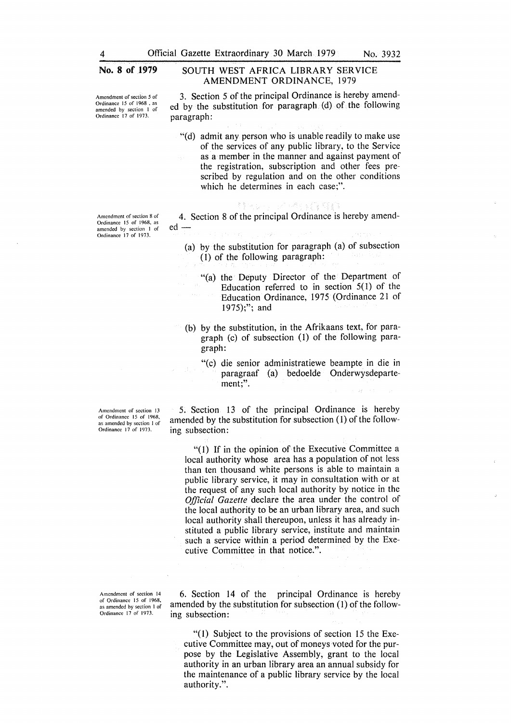**新聞の場合** 

**Amendment of section** *5* **of**  Ordinance 15 of 1968 , as amended by section I of Ordinance 17 of 1973.

**Amendment of section 8 of**  Ordinance 15 of 1968, as amended by section I of Ordinance 17 of 1973.

#### No. 8 of 1979 SOUTH WEST AFRICA LIBRARY SERVICE **AMENDMENT ORDINANCE,** 1979

3. Section 5 of the principal Ordinance is hereby amended by the substitution for paragraph  $(d)$  of the following paragraph:

"(d) admit any person who is unable readily to make use of the services of any public library, to the Service as a member in the manner and against payment of the registration, subscription and other fees prescribed by regulation and on the other conditions which he determines in each case;".

4. Section 8 of the principal Ordinance is hereby amend $ed -$ 

- (a) by the substitution for paragraph (a) of subsection (1) of the following paragraph:
	- "(a) the Deputy Director of the Department of Education referred to in section  $5(1)$  of the Education Ordinance, 1975 (Ordinance 21 of 1975);"; and
- (b) by the substitution, in the Afrikaans text, for paragraph (c) of subsection (I) of the following paragraph:
	- "(c) die senior administratiewe beampte in die in paragraaf (a) bedoelde Onderwysdepartement;".

5. Section 13 of the principal Ordinance is hereby amended by the substitution for subsection (1) of the following subsection:

"( 1) If in the opinion of the Executive Committee a local authority whose area has a population of not less than ten thousand white persons is able to maintain a public library service, it may in consultation with or at the request of any such local authority by notice in the *Official Gazette* declare the area under the control of the local authority to be an urban library area, and such local authority shall thereupon, unless it has already instituted a public library service, institute and maintain such a service within a period determined by the Executive Committee in that notice.".

6. Section 14 of the principal Ordinance is hereby amended by the substitution for subsection (1) of the following subsection:

 $''(1)$  Subject to the provisions of section 15 the Executive Committee may, out of moneys voted for the purpose by the Legislative Assembly, grant to the local authority in an urban library area an annual subsidy for the maintenance of a public library service by the local authority.".

**Amendment of section 13**  of Ordinance 15 of 1968, as **amended by section J of**  Ordinance 17 of 1973.

Amendment of section 14 of Ordinance 15 of 1968, as amended by section I of Ordinance 17 of 1973.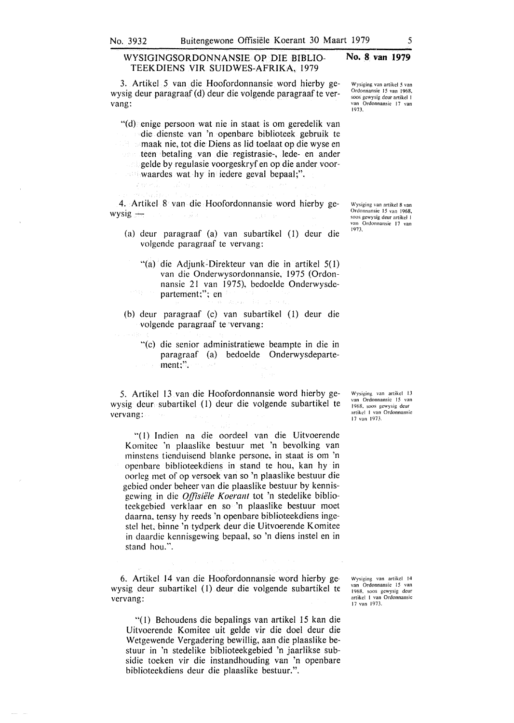#### **WYSIGINGSORDONNANSIE OP DIE BIBLIO-TEEKDIENS VIR SUIDWES-AFRIKA,** 1979

3. Artikel 5 van die Hoofordonnansie word hierby gewysig deur paragraaf (d) deur die volgende paragraaf te vervang:

"(d) enige persoon wat nie in staat is om geredelik van die dienste van 'n openbare biblioteek gebruik te maak nie, tot die Diens as lid toelaat op die wyse en teen betaling van die registrasie-, lede- en ander  $\therefore$  gelde by regulasie voorgeskryf en op die ander voorwaardes wat hy in iedere geval bepaal;".

- 4. Artikel 8 van die Hoofordonnansie word hierby ge $wysig -$ 
	- (a) deur paragraaf (a) van subartikel (1) deur die volgende paragraaf te vervang:
		- "(a) die Adjunk-Direkteur van die in artikel 5(1) van die Onderwysordonnansie, 1975 (Ordonnansie 21 van 1975), bedoelde Onderwysdepartement;"; en
	- (b) deur paragraaf (c) van subartikel (1) deur die volgende paragraaf te ·vervang:
	-

y bos

"(c) die senior administratiewe beampte in die in paragraaf (a) bedoelde Onderwysdepartement;".

5. Artikel 13 van die Hoofordonnansie word hierby gewysig deur subartikel (1) deur die volgende subartikel te vervang:

"(1) Indien na die oordeel van die Uitvoerende Komitee 'n plaaslike bestuur met 'n bevolking van minstcns ticnduisend blanke persone, in staat is om 'n opcnbare biblioteekdiens in stand te hou, kan hy in oorleg met of op versoek van so 'n plaaslikc bestuur die gebied onder beheer van die plaaslike bestuur by kennisgewing in die Offisiële Koerant tot 'n stedelike bibliotcekgcbied verklaar en so 'n plaaslike bestuur moet daarna. tensy hy reeds 'n openbare biblioteekdiens ingestel het. binne 'n tydperk deur die Uitvoerende Komitee in daardic kennisgewing bepaal, so 'n diens instel en in stand hou.".

6. Artikel 14 van die Hoofordonnansie word hierby gewysig deur subartikel (1) deur die volgende subartikel te vervang:

"(I) Behoudens die bepalings van artikel 15 kan die Uitvoerende Komitee uit gelde vir die doel deur die Wetgewende Vergadering bewillig, aan die plaaslike bestuur in 'n stedelike biblioteekgebied 'n jaarlikse subsidie toeken vir die instandhouding van 'n openbare biblioteekdiens deur die plaaslike bestuur.".

Wysiging van artikcl 14 van Ordonnansic 15 van 1968. soos gcwysig dcur artikcl I van Ordonnansic 17 van 1973.

Wysiging van artikel 13 van Ordonnansic 15 van 1968. soos gewysig deur<br>artikel 1 van Ordonnansie 17 van 1973.

Wysiging van artikcl 8 van Ordonnansic 15 van 1968. soos gewysig deur artikel 1 van Ordonnansic 17 van 197.1.

Wysiging van artikcl *5* van Ordonnansie 15 van I 968. soos gcwysig deur artikcl I van Ordonnansie 17 van

1973.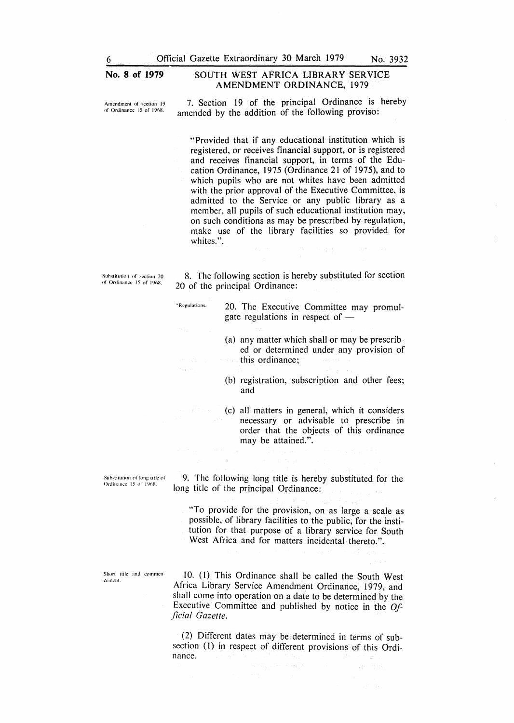#### No. 8 of 1979 SOUTH WEST AFRICA LIBRARY SERVICE AMENDMENT ORDINANCE, 1979

Amendment of section 19 of Ordinance 15 of 1968.

7. Section 19 of the principal Ordinance is hereby amended by the addition of the following proviso:

"Provided that if any educational institution which is registered, or receives financial support, or is registered and receives financial support, in terms of the Education Ordinance, 1975 (Ordinance 21 of 1975), and to which pupils who are not whites have been admitted with the prior approval of the Executive Committee, is admitted to the Service or any public library as a member, all pupils of such educational institution may, on such conditions as may be prescribed by regulation, make use of the library facilities so provided for whites.".

 $\sim$   $\sim$ 

Substitution of section 20 of Ordinance 15 or 1968.

 $\epsilon_{\rm{eff}}$  .

8. The following section is hereby substituted for section 20 of the principal Ordinance:

"Regulations. 20. The Executive Committee may promulgate regulations in respect of -

> (a) any matter which shall or may be prescribed or determined under any provision of this ordinance;

> (b) registration, subscription and other fees; and

> (c) all matters in general, which it considers necessary or advisable to prescribe in order that the objects of this ordinance may be attained.".

Substitution of long title of Ordinance 15 of 1968.

9. The following long title is hereby substituted for the long title of the principal Ordinance:

"To provide for the provision, on as large a scale as possible, of library facilities to the public; for the institution for that purpose of a library service for South West Africa and for matters incidental thereto.".

Short title and commencement.

10. (I) This Ordinance shall be called the South West Africa Library Service Amendment Ordinance, 1979, and shall come into operation on a date to be determined by the Executive Committee and published by notice in the *Official Gazette.* 

(2) Different dates may be determined in terms of subsection (1) in respect of different provisions of this Ordinance.

Special Stage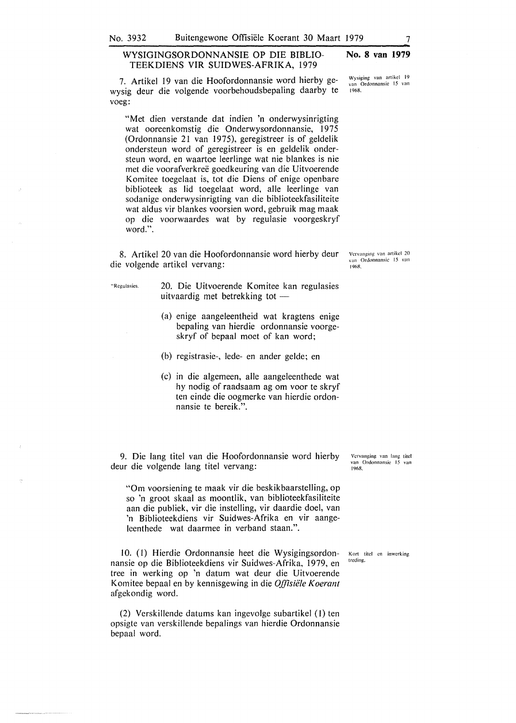#### WYSIGINGSORDONNANSIE OP DIE BIBLIO-TEEKDIENS VIR SUIDWES-AFRIKA, 1979 **No. 8 van 1979**

7. Artikel 19 van die Hoofordonnansie word hierby gewysig deur die volgende voorbehoudsbepaling daarby te voeg:

"Met dien verstande dat indien 'n onderwysinrigting wat ooreenkomstig die Onderwysordonnansie, 1975 (Ordonnansie 21 van 1975), geregistreer is of geldelik ondersteun word of geregistreer is en geldelik ondersteun word, en waartoe leerlinge wat nie blankes is nie met die voorafverkree goedkeuring van die Uitvoerende Komitee toegelaat is, tot die Diens of enige openbare biblioteek as lid toegelaat word, alle leerlinge van sodanige onderwysinrigting van die biblioteekfasiliteite wat aldus vir blankes voorsien word, gebruik mag maak op die voorwaardes wat by regulasie voorgeskryf word.".

8. Artikel 20 van die Hoofordonnansie word hierby deur die volgende artikel vervang:

"Regulasics. 20. Die Uitvoerende Komitee kan regulasies uitvaardig met betrekking tot  $-$ 

- (a) enige aangeleentheid wat kragtens enige bepaling van hierdie ordonnansie voorgeskryf of bepaal moet of kan word;
- (b) registrasie-, lede- en ander gelde; en
- (c) in die algemeen, alle aangeleenthede wat hy nodig of raadsaam ag om voor te skryf ten einde die oogmerke van hierdie ordonnansie te bereik.".

9. Die lang titel van die Hoofordonnansie word hierby deur die volgende lang titel vervang:

"Om voorsiening te maak vir die beskikbaarstelling, op so 'n groot skaal as moontlik, van biblioteekfasiliteite aan die publiek, vir die instelling, vir daardie doel, van 'n Biblioteekdiens vir Suidwes-Afrika en vir aangeleenthede wat daarmee in verband staan.".

10. (I) Hierdie Ordonnansie heet die Wysigingsordonnansie op die Biblioteekdiens vir Suidwes-Afrika, 1979, en tree in werking op 'n datum wat deur die Uitvoerende Komitee bepaal en by kennisgewing in die *Offisie'le Koerant*  afgekondig word.

(2) Verskillende datums kan ingevolge subartikel (I) ten opsigte van verskillende bepalings van hierdie Ordonnansie bepaal word.

Vervanging van lang titel van Ordonnansic 15 van 1968.

Kort titcl en inwcrking trcding.

Vcrvnnging van artikcl 20 van Ordonnansie 15 van 1%8,

Wysiging van artikcl 19 van Ordonnansie 15 van 1968.